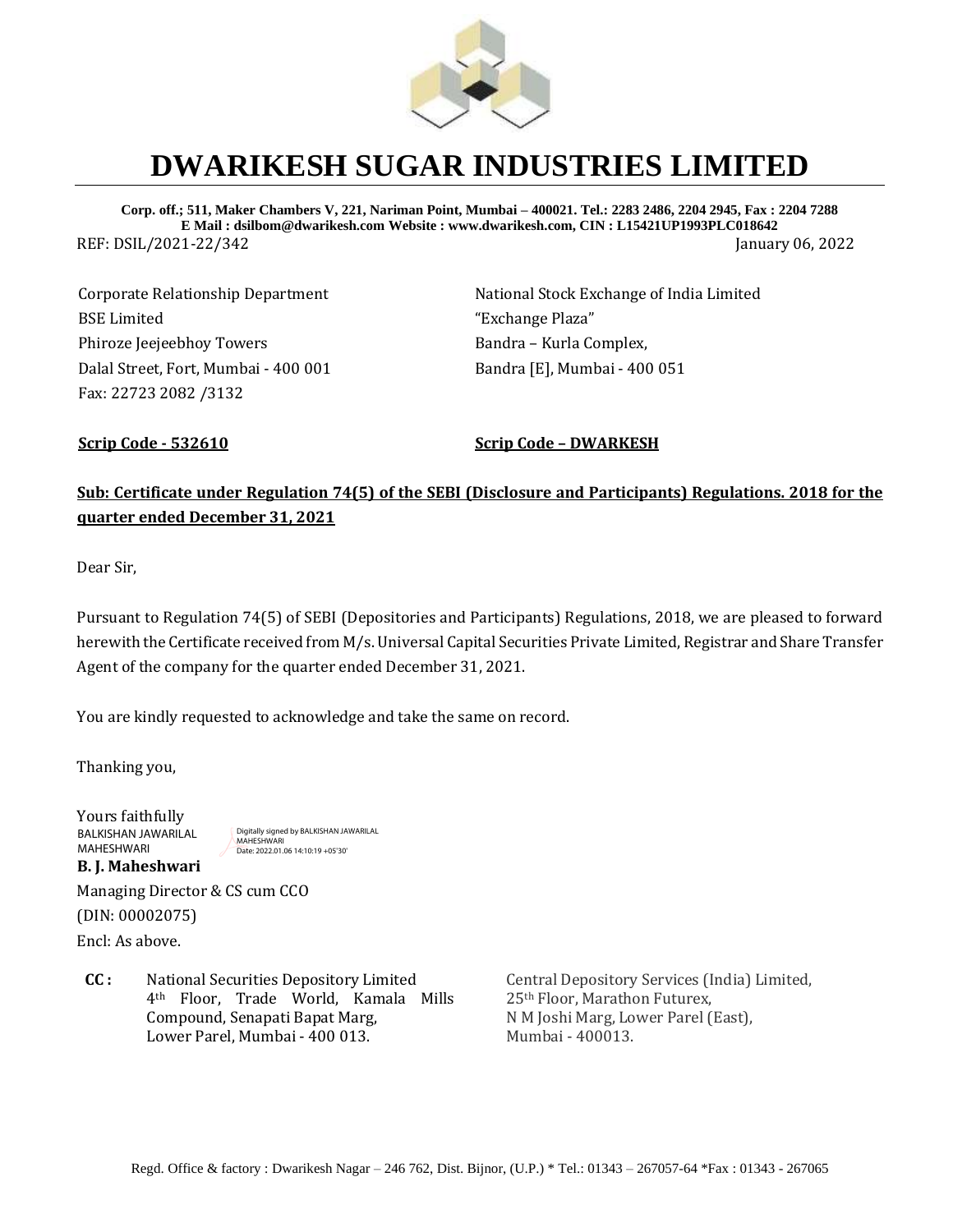

# **DWARIKESH SUGAR INDUSTRIES LIMITED**

**Corp. off.; 511, Maker Chambers V, 221, Nariman Point, Mumbai – 400021. Tel.: 2283 2486, 2204 2945, Fax : 2204 7288 E Mail : dsilbom@dwarikesh.com Website : www.dwarikesh.com, CIN : L15421UP1993PLC018642** REF: DSIL/2021-22/342 January 06, 2022

Corporate Relationship Department BSE Limited Phiroze Jeejeebhoy Towers Dalal Street, Fort, Mumbai - 400 001 Fax: 22723 2082 /3132

National Stock Exchange of India Limited "Exchange Plaza" Bandra – Kurla Complex, Bandra [E], Mumbai - 400 051

**Scrip Code - 532610 Scrip Code – DWARKESH**

## **Sub: Certificate under Regulation 74(5) of the SEBI (Disclosure and Participants) Regulations. 2018 for the quarter ended December 31, 2021**

Dear Sir,

Pursuant to Regulation 74(5) of SEBI (Depositories and Participants) Regulations, 2018, we are pleased to forward herewith the Certificate received from M/s. Universal Capital Securities Private Limited, Registrar and Share Transfer Agent of the company for the quarter ended December 31, 2021.

You are kindly requested to acknowledge and take the same on record.

Thanking you,

Yours faithfully **B. J. Maheshwari**  BALKISHAN JAWARILAL MAHESHWARI

Digitally signed by BALKISHAN JAWARILAL **MAHESHWARI** Date: 2022.01.06 14:10:19 +05'30'

Managing Director & CS cum CCO (DIN: 00002075) Encl: As above.

**CC :** National Securities Depository Limited 4th Floor, Trade World, Kamala Mills Compound, Senapati Bapat Marg, Lower Parel, Mumbai - 400 013.

Central Depository Services (India) Limited, 25th Floor, Marathon Futurex, N M Joshi Marg, Lower Parel (East), Mumbai - 400013.